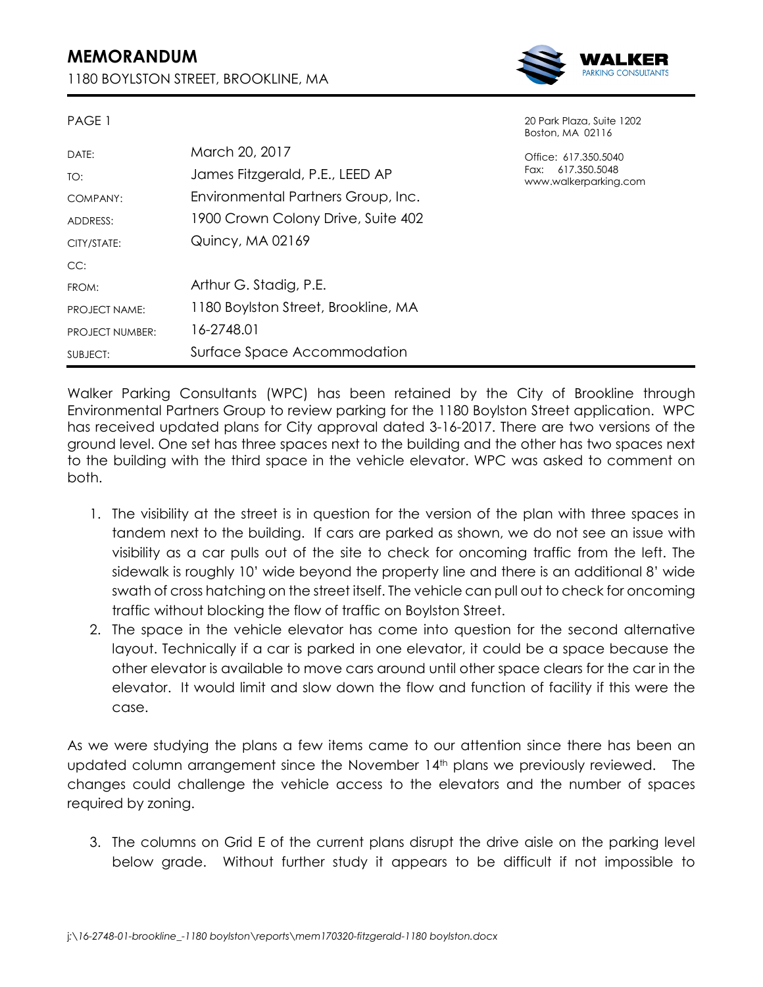## **MEMORANDUM**

PAGE 1

1180 BOYLSTON STREET, BROOKLINE, MA



20 Park Plaza, Suite 1202 Boston, MA 02116

Office: 617.350.5040 Fax: 617.350.5048 www.walkerparking.com

| DATE:                  | March 20, 2017                      |
|------------------------|-------------------------------------|
| TO:                    | James Fitzgerald, P.E., LEED AP     |
| COMPANY:               | Environmental Partners Group, Inc.  |
| ADDRESS:               | 1900 Crown Colony Drive, Suite 402  |
| CITY/STATE:            | Quincy, MA 02169                    |
| CC:                    |                                     |
| FROM:                  | Arthur G. Stadig, P.E.              |
| <b>PROJECT NAME:</b>   | 1180 Boylston Street, Brookline, MA |
| <b>PROJECT NUMBER:</b> | 16-2748.01                          |
| SUBJECT:               | Surface Space Accommodation         |

Walker Parking Consultants (WPC) has been retained by the City of Brookline through Environmental Partners Group to review parking for the 1180 Boylston Street application. WPC has received updated plans for City approval dated 3-16-2017. There are two versions of the ground level. One set has three spaces next to the building and the other has two spaces next to the building with the third space in the vehicle elevator. WPC was asked to comment on both.

- 1. The visibility at the street is in question for the version of the plan with three spaces in tandem next to the building. If cars are parked as shown, we do not see an issue with visibility as a car pulls out of the site to check for oncoming traffic from the left. The sidewalk is roughly 10' wide beyond the property line and there is an additional 8' wide swath of cross hatching on the street itself. The vehicle can pull out to check for oncoming traffic without blocking the flow of traffic on Boylston Street.
- 2. The space in the vehicle elevator has come into question for the second alternative layout. Technically if a car is parked in one elevator, it could be a space because the other elevator is available to move cars around until other space clears for the car in the elevator. It would limit and slow down the flow and function of facility if this were the case.

As we were studying the plans a few items came to our attention since there has been an updated column arrangement since the November 14th plans we previously reviewed. The changes could challenge the vehicle access to the elevators and the number of spaces required by zoning.

3. The columns on Grid E of the current plans disrupt the drive aisle on the parking level below grade. Without further study it appears to be difficult if not impossible to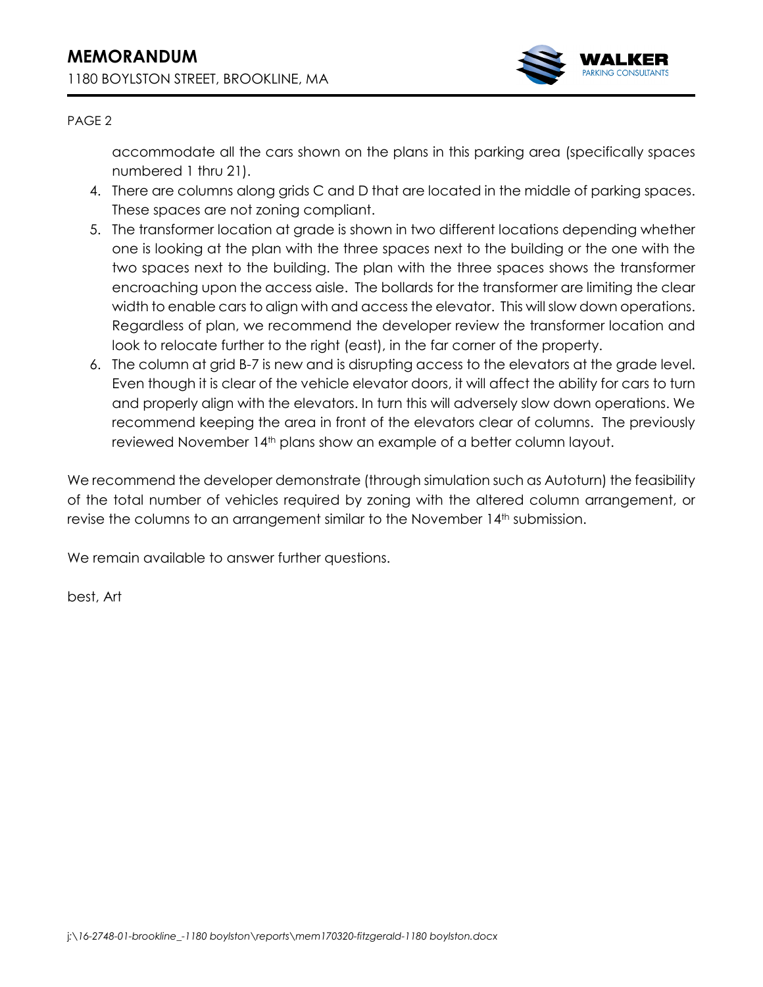

## PAGE 2

accommodate all the cars shown on the plans in this parking area (specifically spaces numbered 1 thru 21).

- 4. There are columns along grids C and D that are located in the middle of parking spaces. These spaces are not zoning compliant.
- 5. The transformer location at grade is shown in two different locations depending whether one is looking at the plan with the three spaces next to the building or the one with the two spaces next to the building. The plan with the three spaces shows the transformer encroaching upon the access aisle. The bollards for the transformer are limiting the clear width to enable cars to align with and access the elevator. This will slow down operations. Regardless of plan, we recommend the developer review the transformer location and look to relocate further to the right (east), in the far corner of the property.
- 6. The column at grid B-7 is new and is disrupting access to the elevators at the grade level. Even though it is clear of the vehicle elevator doors, it will affect the ability for cars to turn and properly align with the elevators. In turn this will adversely slow down operations. We recommend keeping the area in front of the elevators clear of columns. The previously reviewed November 14<sup>th</sup> plans show an example of a better column layout.

We recommend the developer demonstrate (through simulation such as Autoturn) the feasibility of the total number of vehicles required by zoning with the altered column arrangement, or revise the columns to an arrangement similar to the November 14<sup>th</sup> submission.

We remain available to answer further questions.

best, Art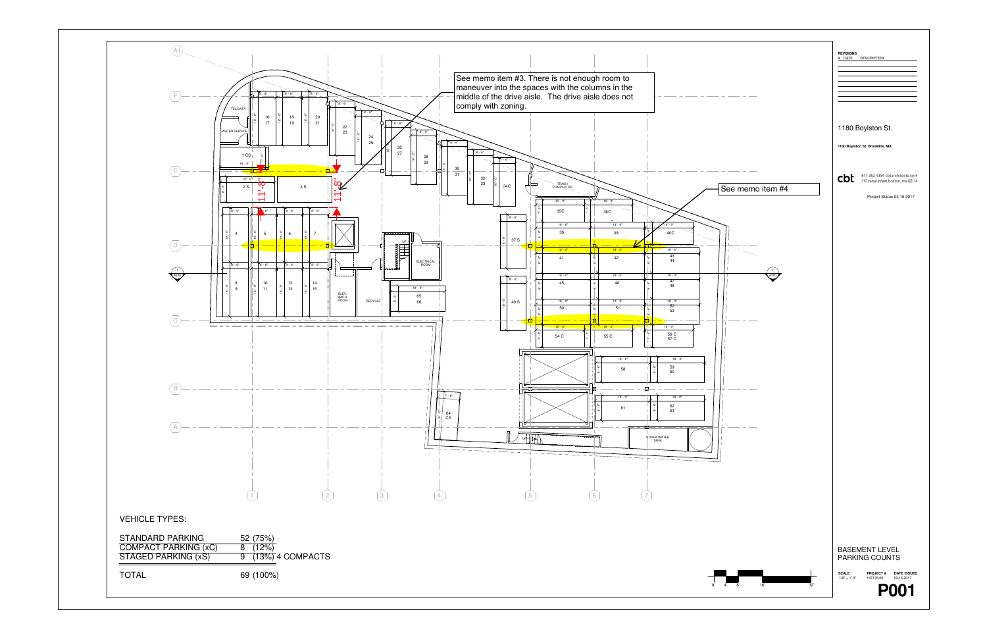